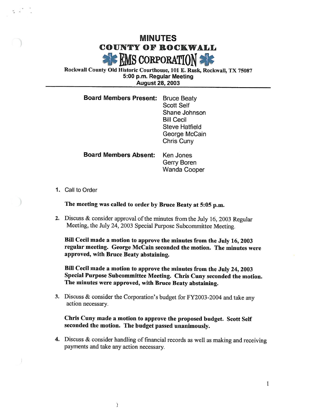## MINUTES COUNTY OF ROCKWALL **EMS CORPORATION:**

Rockwall County Old Historic Courthouse, 101 E. Rusk, Rockwall, TX 75087 5: 00 p. m. Regular Meeting August 28, 2003

| <b>Board Members Present:</b> | <b>Bruce Beaty</b><br><b>Scott Self</b><br>Shane Johnson<br><b>Bill Cecil</b><br><b>Steve Hatfield</b><br>George McCain<br>Chris Cuny |
|-------------------------------|---------------------------------------------------------------------------------------------------------------------------------------|
| <b>Board Members Absent:</b>  | Ken Jones                                                                                                                             |

- Wanda Cooper
- 1. Call to Order

The meeting was called to order by Bruce Beaty at 5:05 p.m.

2. Discuss  $&$  consider approval of the minutes from the July 16, 2003 Regular Meeting, the July 24, 2003 Special Purpose Subcommittee Meeting.

Bill Cecil made a motion to approve the minutes from the July 16, 2003 regular meeting. George McCain seconded the motion. The minutes were approved, with Bruce Beaty abstaining.

Gerry Boren

Bill Cecil made a motion to approve the minutes from the July 24, 2003 Special Purpose Subcommittee Meeting. Chris Cuny seconded the motion. The minutes were approved, with Bruce Beaty abstaining.

3. Discuss & consider the Corporation's budget for FY2003-2004 and take any action necessary.

Chris Cuny made a motion to approve the proposed budget. Scott Self seconded the motion. The budget passed unanimously.

4. Discuss & consider handling of financial records as well as making and receiving payments and take any action necessary.

 $\mathcal{L}$